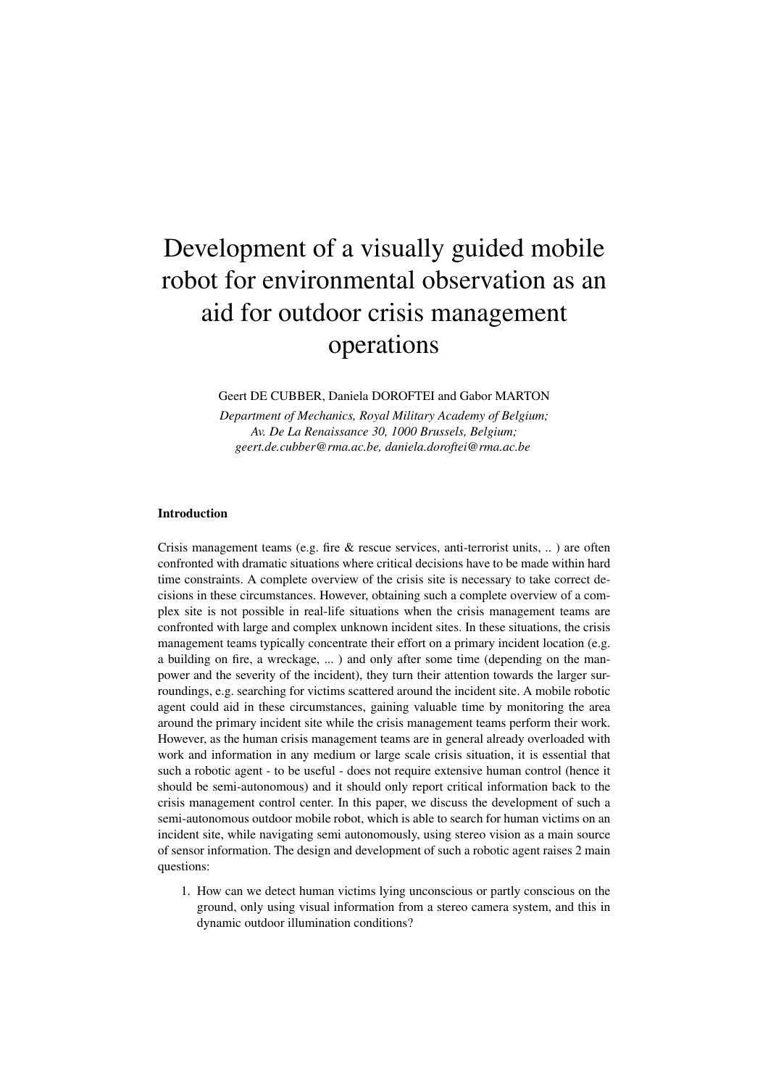# Development of a visually guided mobile robot for environmental observation as an aid for outdoor crisis management operations

Geert DE CUBBER, Daniela DOROFTEI and Gabor MARTON

*Department of Mechanics, Royal Military Academy of Belgium; Av. De La Renaissance 30, 1000 Brussels, Belgium; geert.de.cubber@rma.ac.be, daniela.doroftei@rma.ac.be*

#### Introduction

Crisis management teams (e.g. fire & rescue services, anti-terrorist units, .. ) are often confronted with dramatic situations where critical decisions have to be made within hard time constraints. A complete overview of the crisis site is necessary to take correct decisions in these circumstances. However, obtaining such a complete overview of a complex site is not possible in real-life situations when the crisis management teams are confronted with large and complex unknown incident sites. In these situations, the crisis management teams typically concentrate their effort on a primary incident location (e.g. a building on fire, a wreckage, ... ) and only after some time (depending on the manpower and the severity of the incident), they turn their attention towards the larger surroundings, e.g. searching for victims scattered around the incident site. A mobile robotic agent could aid in these circumstances, gaining valuable time by monitoring the area around the primary incident site while the crisis management teams perform their work. However, as the human crisis management teams are in general already overloaded with work and information in any medium or large scale crisis situation, it is essential that such a robotic agent - to be useful - does not require extensive human control (hence it should be semi-autonomous) and it should only report critical information back to the crisis management control center. In this paper, we discuss the development of such a semi-autonomous outdoor mobile robot, which is able to search for human victims on an incident site, while navigating semi autonomously, using stereo vision as a main source of sensor information. The design and development of such a robotic agent raises 2 main questions:

1. How can we detect human victims lying unconscious or partly conscious on the ground, only using visual information from a stereo camera system, and this in dynamic outdoor illumination conditions?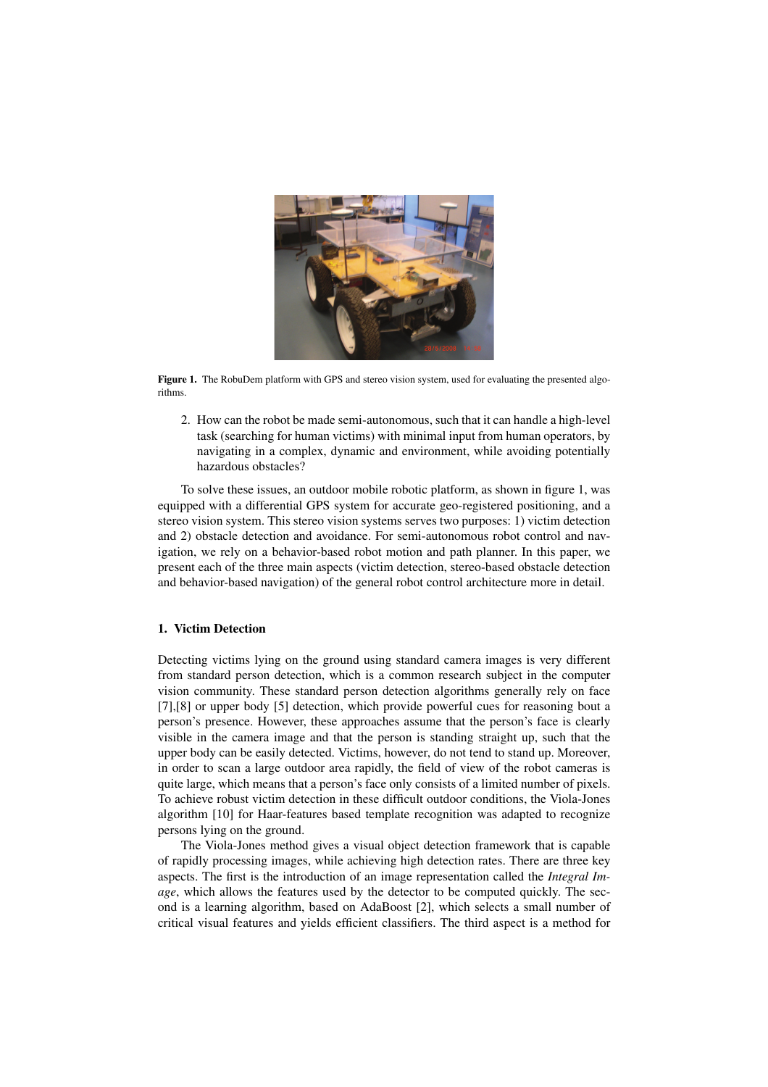

Figure 1. The RobuDem platform with GPS and stereo vision system, used for evaluating the presented algorithms.

2. How can the robot be made semi-autonomous, such that it can handle a high-level task (searching for human victims) with minimal input from human operators, by navigating in a complex, dynamic and environment, while avoiding potentially hazardous obstacles?

To solve these issues, an outdoor mobile robotic platform, as shown in figure 1, was equipped with a differential GPS system for accurate geo-registered positioning, and a stereo vision system. This stereo vision systems serves two purposes: 1) victim detection and 2) obstacle detection and avoidance. For semi-autonomous robot control and navigation, we rely on a behavior-based robot motion and path planner. In this paper, we present each of the three main aspects (victim detection, stereo-based obstacle detection and behavior-based navigation) of the general robot control architecture more in detail.

## 1. Victim Detection

Detecting victims lying on the ground using standard camera images is very different from standard person detection, which is a common research subject in the computer vision community. These standard person detection algorithms generally rely on face [7],[8] or upper body [5] detection, which provide powerful cues for reasoning bout a person's presence. However, these approaches assume that the person's face is clearly visible in the camera image and that the person is standing straight up, such that the upper body can be easily detected. Victims, however, do not tend to stand up. Moreover, in order to scan a large outdoor area rapidly, the field of view of the robot cameras is quite large, which means that a person's face only consists of a limited number of pixels. To achieve robust victim detection in these difficult outdoor conditions, the Viola-Jones algorithm [10] for Haar-features based template recognition was adapted to recognize persons lying on the ground.

The Viola-Jones method gives a visual object detection framework that is capable of rapidly processing images, while achieving high detection rates. There are three key aspects. The first is the introduction of an image representation called the *Integral Image*, which allows the features used by the detector to be computed quickly. The second is a learning algorithm, based on AdaBoost [2], which selects a small number of critical visual features and yields efficient classifiers. The third aspect is a method for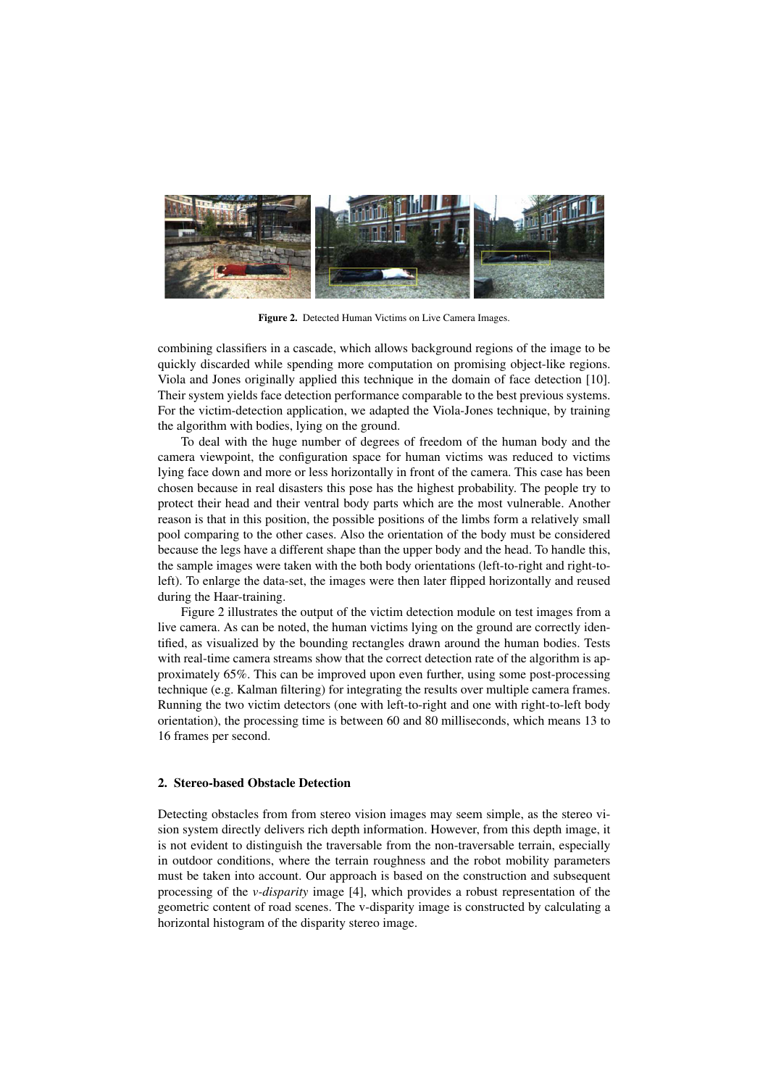

Figure 2. Detected Human Victims on Live Camera Images.

combining classifiers in a cascade, which allows background regions of the image to be quickly discarded while spending more computation on promising object-like regions. Viola and Jones originally applied this technique in the domain of face detection [10]. Their system yields face detection performance comparable to the best previous systems. For the victim-detection application, we adapted the Viola-Jones technique, by training the algorithm with bodies, lying on the ground.

To deal with the huge number of degrees of freedom of the human body and the camera viewpoint, the configuration space for human victims was reduced to victims lying face down and more or less horizontally in front of the camera. This case has been chosen because in real disasters this pose has the highest probability. The people try to protect their head and their ventral body parts which are the most vulnerable. Another reason is that in this position, the possible positions of the limbs form a relatively small pool comparing to the other cases. Also the orientation of the body must be considered because the legs have a different shape than the upper body and the head. To handle this, the sample images were taken with the both body orientations (left-to-right and right-toleft). To enlarge the data-set, the images were then later flipped horizontally and reused during the Haar-training.

Figure 2 illustrates the output of the victim detection module on test images from a live camera. As can be noted, the human victims lying on the ground are correctly identified, as visualized by the bounding rectangles drawn around the human bodies. Tests with real-time camera streams show that the correct detection rate of the algorithm is approximately 65%. This can be improved upon even further, using some post-processing technique (e.g. Kalman filtering) for integrating the results over multiple camera frames. Running the two victim detectors (one with left-to-right and one with right-to-left body orientation), the processing time is between 60 and 80 milliseconds, which means 13 to 16 frames per second.

### 2. Stereo-based Obstacle Detection

Detecting obstacles from from stereo vision images may seem simple, as the stereo vision system directly delivers rich depth information. However, from this depth image, it is not evident to distinguish the traversable from the non-traversable terrain, especially in outdoor conditions, where the terrain roughness and the robot mobility parameters must be taken into account. Our approach is based on the construction and subsequent processing of the *v-disparity* image [4], which provides a robust representation of the geometric content of road scenes. The v-disparity image is constructed by calculating a horizontal histogram of the disparity stereo image.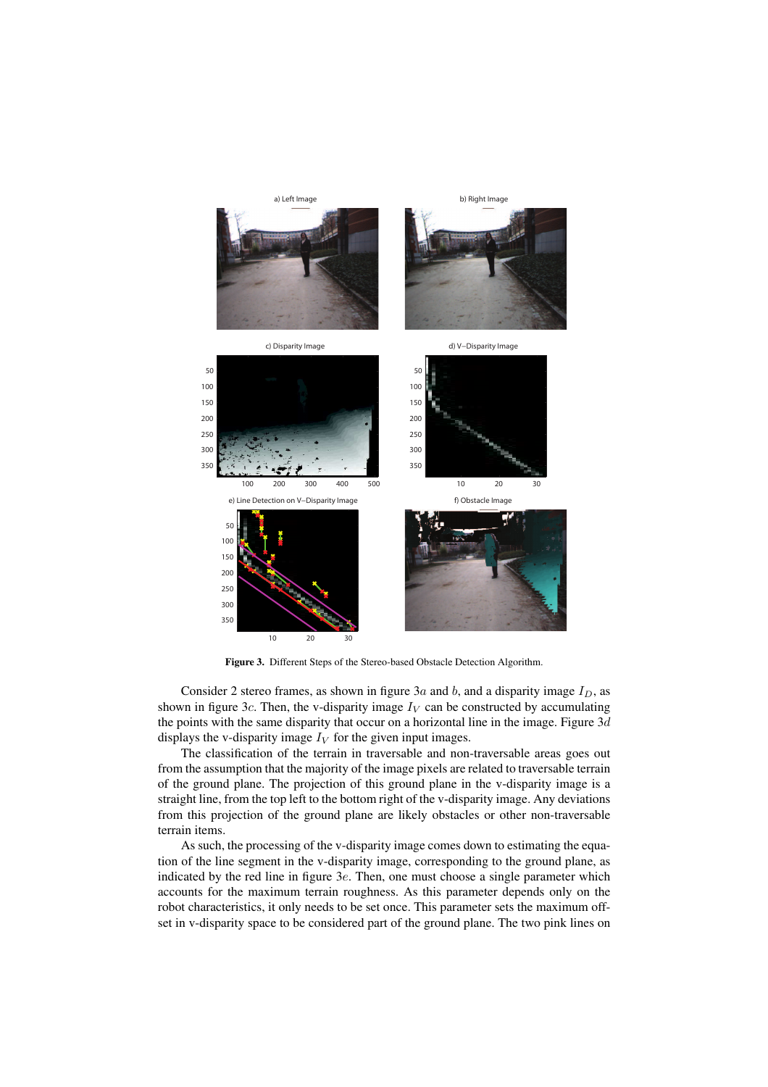

Figure 3. Different Steps of the Stereo-based Obstacle Detection Algorithm.

Consider 2 stereo frames, as shown in figure 3a and b, and a disparity image  $I_D$ , as shown in figure 3c. Then, the v-disparity image  $I_V$  can be constructed by accumulating the points with the same disparity that occur on a horizontal line in the image. Figure  $3d$ displays the v-disparity image  $I_V$  for the given input images.

The classification of the terrain in traversable and non-traversable areas goes out from the assumption that the majority of the image pixels are related to traversable terrain of the ground plane. The projection of this ground plane in the v-disparity image is a straight line, from the top left to the bottom right of the v-disparity image. Any deviations from this projection of the ground plane are likely obstacles or other non-traversable terrain items.

As such, the processing of the v-disparity image comes down to estimating the equation of the line segment in the v-disparity image, corresponding to the ground plane, as indicated by the red line in figure 3e. Then, one must choose a single parameter which accounts for the maximum terrain roughness. As this parameter depends only on the robot characteristics, it only needs to be set once. This parameter sets the maximum offset in v-disparity space to be considered part of the ground plane. The two pink lines on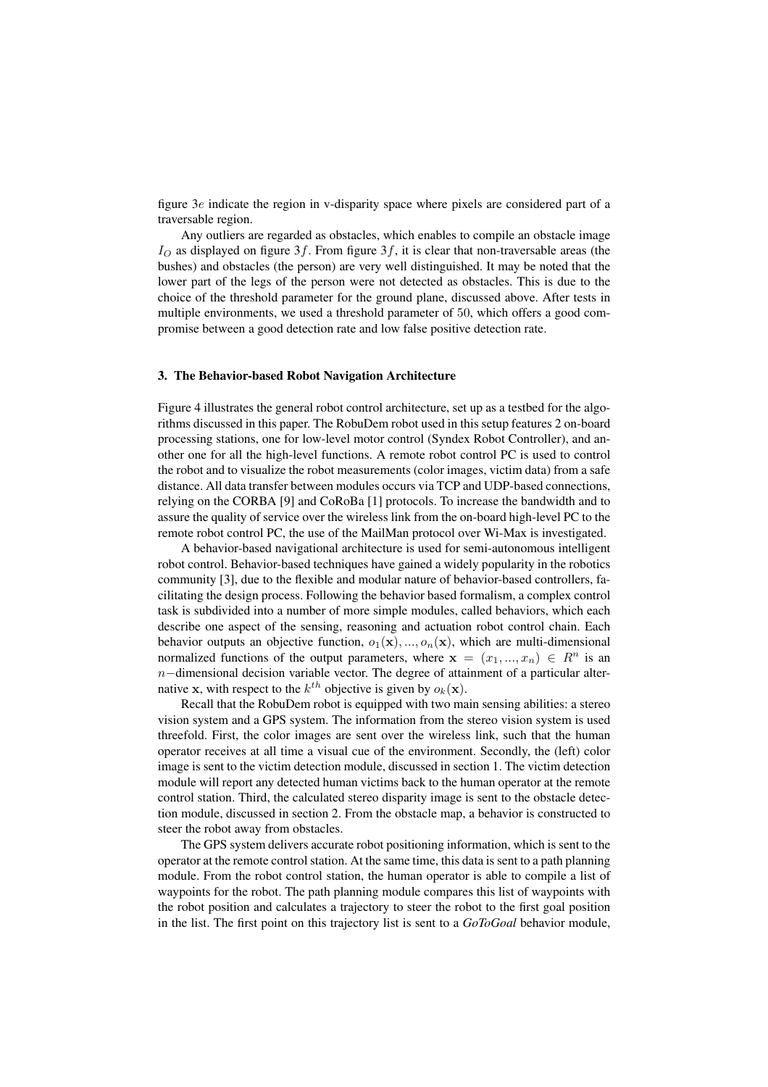figure 3e indicate the region in v-disparity space where pixels are considered part of a traversable region.

Any outliers are regarded as obstacles, which enables to compile an obstacle image  $I<sub>O</sub>$  as displayed on figure 3f. From figure 3f, it is clear that non-traversable areas (the bushes) and obstacles (the person) are very well distinguished. It may be noted that the lower part of the legs of the person were not detected as obstacles. This is due to the choice of the threshold parameter for the ground plane, discussed above. After tests in multiple environments, we used a threshold parameter of 50, which offers a good compromise between a good detection rate and low false positive detection rate.

### 3. The Behavior-based Robot Navigation Architecture

Figure 4 illustrates the general robot control architecture, set up as a testbed for the algorithms discussed in this paper. The RobuDem robot used in this setup features 2 on-board processing stations, one for low-level motor control (Syndex Robot Controller), and another one for all the high-level functions. A remote robot control PC is used to control the robot and to visualize the robot measurements (color images, victim data) from a safe distance. All data transfer between modules occurs via TCP and UDP-based connections, relying on the CORBA [9] and CoRoBa [1] protocols. To increase the bandwidth and to assure the quality of service over the wireless link from the on-board high-level PC to the remote robot control PC, the use of the MailMan protocol over Wi-Max is investigated.

A behavior-based navigational architecture is used for semi-autonomous intelligent robot control. Behavior-based techniques have gained a widely popularity in the robotics community [3], due to the flexible and modular nature of behavior-based controllers, facilitating the design process. Following the behavior based formalism, a complex control task is subdivided into a number of more simple modules, called behaviors, which each describe one aspect of the sensing, reasoning and actuation robot control chain. Each behavior outputs an objective function,  $o_1(\mathbf{x}), ..., o_n(\mathbf{x})$ , which are multi-dimensional normalized functions of the output parameters, where  $x = (x_1, ..., x_n) \in R^n$  is an  $n$ −dimensional decision variable vector. The degree of attainment of a particular alternative **x**, with respect to the  $k^{th}$  objective is given by  $o_k(\mathbf{x})$ .

Recall that the RobuDem robot is equipped with two main sensing abilities: a stereo vision system and a GPS system. The information from the stereo vision system is used threefold. First, the color images are sent over the wireless link, such that the human operator receives at all time a visual cue of the environment. Secondly, the (left) color image is sent to the victim detection module, discussed in section 1. The victim detection module will report any detected human victims back to the human operator at the remote control station. Third, the calculated stereo disparity image is sent to the obstacle detection module, discussed in section 2. From the obstacle map, a behavior is constructed to steer the robot away from obstacles.

The GPS system delivers accurate robot positioning information, which is sent to the operator at the remote control station. At the same time, this data is sent to a path planning module. From the robot control station, the human operator is able to compile a list of waypoints for the robot. The path planning module compares this list of waypoints with the robot position and calculates a trajectory to steer the robot to the first goal position in the list. The first point on this trajectory list is sent to a *GoToGoal* behavior module,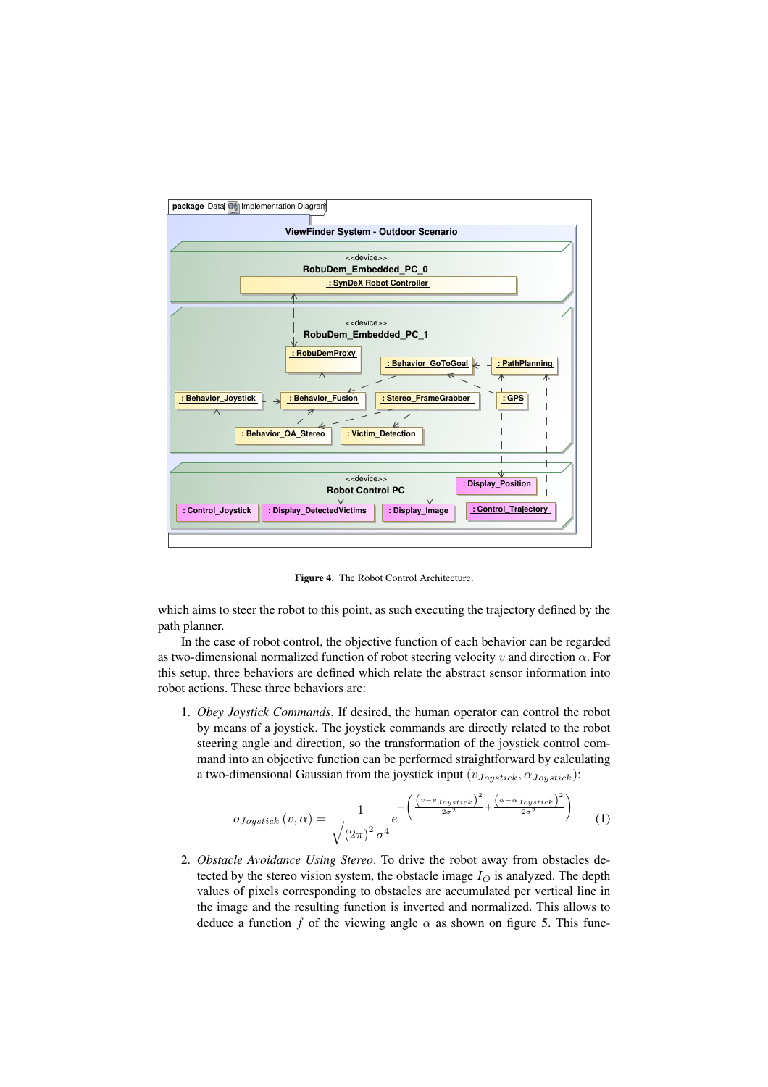

Figure 4. The Robot Control Architecture.

which aims to steer the robot to this point, as such executing the trajectory defined by the path planner.

In the case of robot control, the objective function of each behavior can be regarded as two-dimensional normalized function of robot steering velocity v and direction  $\alpha$ . For this setup, three behaviors are defined which relate the abstract sensor information into robot actions. These three behaviors are:

1. *Obey Joystick Commands*. If desired, the human operator can control the robot by means of a joystick. The joystick commands are directly related to the robot steering angle and direction, so the transformation of the joystick control command into an objective function can be performed straightforward by calculating a two-dimensional Gaussian from the joystick input  $(v_{Joystick}, \alpha_{Joystick})$ :

$$
o_{Joystick}(v, \alpha) = \frac{1}{\sqrt{\left(2\pi\right)^2 \sigma^4}} e^{-\left(\frac{\left(v - v_{Joystick}\right)^2}{2\sigma^2} + \frac{\left(\alpha - \alpha_{Joystick}\right)^2}{2\sigma^2}\right)}
$$
(1)

2. *Obstacle Avoidance Using Stereo*. To drive the robot away from obstacles detected by the stereo vision system, the obstacle image  $I<sub>O</sub>$  is analyzed. The depth values of pixels corresponding to obstacles are accumulated per vertical line in the image and the resulting function is inverted and normalized. This allows to deduce a function f of the viewing angle  $\alpha$  as shown on figure 5. This func-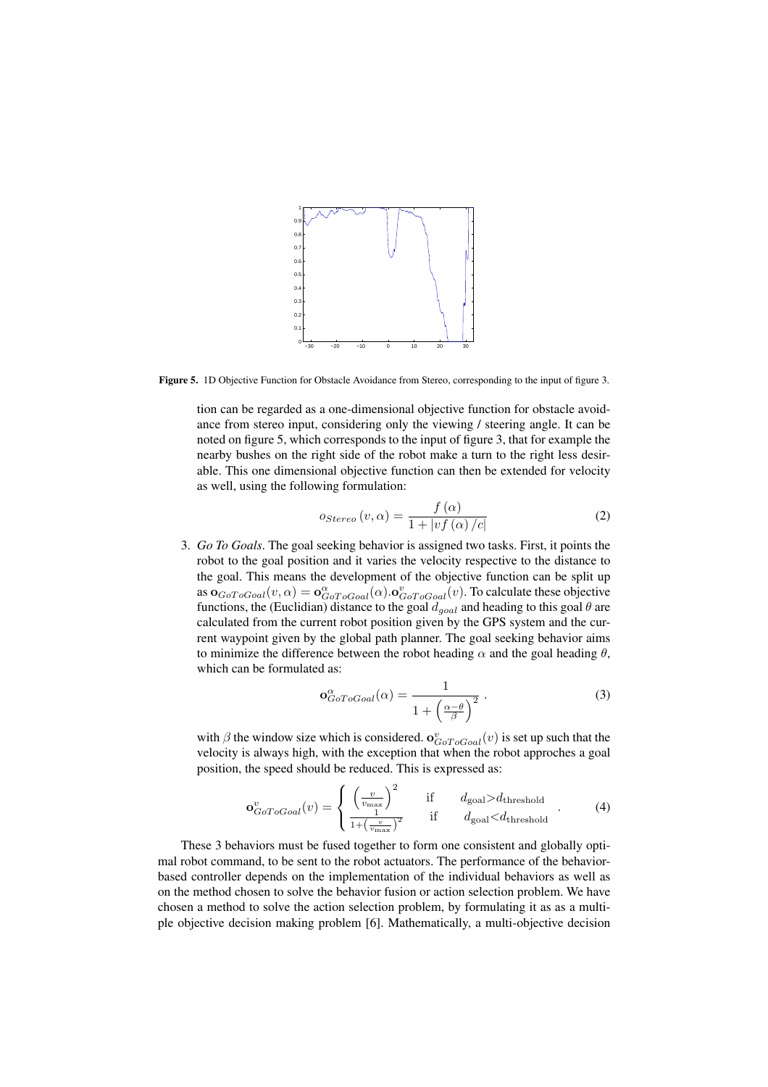

Figure 5. 1D Objective Function for Obstacle Avoidance from Stereo, corresponding to the input of figure 3.

tion can be regarded as a one-dimensional objective function for obstacle avoidance from stereo input, considering only the viewing / steering angle. It can be noted on figure 5, which corresponds to the input of figure 3, that for example the nearby bushes on the right side of the robot make a turn to the right less desirable. This one dimensional objective function can then be extended for velocity as well, using the following formulation:

$$
o_{Stereo}(v,\alpha) = \frac{f(\alpha)}{1 + |vf(\alpha)/c|}
$$
 (2)

3. *Go To Goals*. The goal seeking behavior is assigned two tasks. First, it points the robot to the goal position and it varies the velocity respective to the distance to the goal. This means the development of the objective function can be split up as  $\mathbf{o}_{GoToGoal}(v, \alpha) = \mathbf{o}_{GoToGoal}^{\alpha}(\alpha) . \mathbf{o}_{GoToGoal}^v(v)$ . To calculate these objective functions, the (Euclidian) distance to the goal  $d_{goal}$  and heading to this goal  $\theta$  are calculated from the current robot position given by the GPS system and the current waypoint given by the global path planner. The goal seeking behavior aims to minimize the difference between the robot heading  $\alpha$  and the goal heading  $\theta$ , which can be formulated as:

$$
\mathbf{o}_{GoToGoal}^{\alpha}(\alpha) = \frac{1}{1 + \left(\frac{\alpha - \theta}{\beta}\right)^2} \,. \tag{3}
$$

with  $\beta$  the window size which is considered.  $\mathbf{o}_{G \circ T o G o a l}^v(v)$  is set up such that the velocity is always high, with the exception that when the robot approches a goal position, the speed should be reduced. This is expressed as:

$$
\mathbf{o}_{GoToGoal}^v(v) = \begin{cases} \left(\frac{v}{v_{\text{max}}}\right)^2 & \text{if } d_{\text{goal}} > d_{\text{threshold}} \\ \frac{1}{1 + \left(\frac{v}{v_{\text{max}}}\right)^2} & \text{if } d_{\text{goal}} < d_{\text{threshold}} \end{cases}
$$
 (4)

These 3 behaviors must be fused together to form one consistent and globally optimal robot command, to be sent to the robot actuators. The performance of the behaviorbased controller depends on the implementation of the individual behaviors as well as on the method chosen to solve the behavior fusion or action selection problem. We have chosen a method to solve the action selection problem, by formulating it as as a multiple objective decision making problem [6]. Mathematically, a multi-objective decision